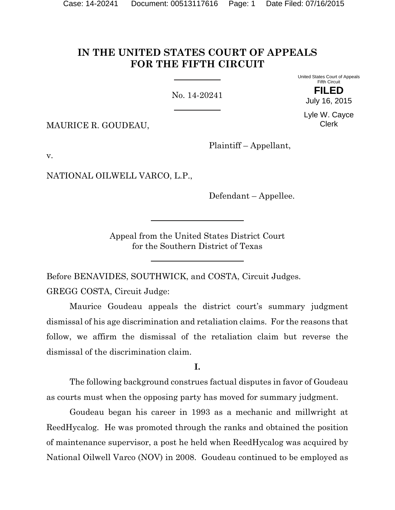# **IN THE UNITED STATES COURT OF APPEALS FOR THE FIFTH CIRCUIT**

No. 14-20241

United States Court of Appeals Fifth Circuit **FILED**

July 16, 2015

Lyle W. Cayce Clerk

MAURICE R. GOUDEAU,

Plaintiff – Appellant,

v.

NATIONAL OILWELL VARCO, L.P.,

Defendant – Appellee.

Appeal from the United States District Court for the Southern District of Texas

Before BENAVIDES, SOUTHWICK, and COSTA, Circuit Judges.

GREGG COSTA, Circuit Judge:

Maurice Goudeau appeals the district court's summary judgment dismissal of his age discrimination and retaliation claims. For the reasons that follow, we affirm the dismissal of the retaliation claim but reverse the dismissal of the discrimination claim.

**I.**

The following background construes factual disputes in favor of Goudeau as courts must when the opposing party has moved for summary judgment.

Goudeau began his career in 1993 as a mechanic and millwright at ReedHycalog. He was promoted through the ranks and obtained the position of maintenance supervisor, a post he held when ReedHycalog was acquired by National Oilwell Varco (NOV) in 2008. Goudeau continued to be employed as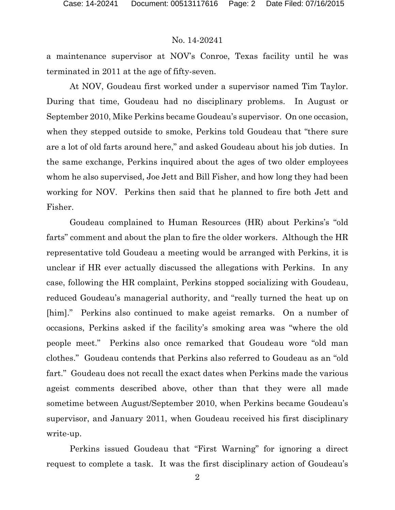a maintenance supervisor at NOV's Conroe, Texas facility until he was terminated in 2011 at the age of fifty-seven.

At NOV, Goudeau first worked under a supervisor named Tim Taylor. During that time, Goudeau had no disciplinary problems. In August or September 2010, Mike Perkins became Goudeau's supervisor. On one occasion, when they stepped outside to smoke, Perkins told Goudeau that "there sure are a lot of old farts around here," and asked Goudeau about his job duties. In the same exchange, Perkins inquired about the ages of two older employees whom he also supervised, Joe Jett and Bill Fisher, and how long they had been working for NOV. Perkins then said that he planned to fire both Jett and Fisher.

Goudeau complained to Human Resources (HR) about Perkins's "old farts" comment and about the plan to fire the older workers.Although the HR representative told Goudeau a meeting would be arranged with Perkins, it is unclear if HR ever actually discussed the allegations with Perkins. In any case, following the HR complaint, Perkins stopped socializing with Goudeau, reduced Goudeau's managerial authority, and "really turned the heat up on [him]."Perkins also continued to make ageist remarks. On a number of occasions, Perkins asked if the facility's smoking area was "where the old people meet." Perkins also once remarked that Goudeau wore "old man clothes." Goudeau contends that Perkins also referred to Goudeau as an "old fart." Goudeau does not recall the exact dates when Perkins made the various ageist comments described above, other than that they were all made sometime between August/September 2010, when Perkins became Goudeau's supervisor, and January 2011, when Goudeau received his first disciplinary write-up.

Perkins issued Goudeau that "First Warning" for ignoring a direct request to complete a task. It was the first disciplinary action of Goudeau's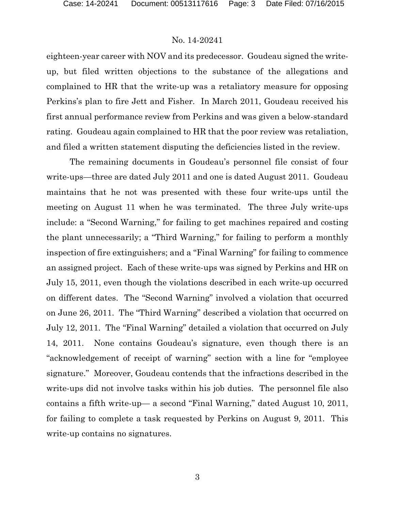eighteen-year career with NOV and its predecessor. Goudeau signed the writeup, but filed written objections to the substance of the allegations and complained to HR that the write-up was a retaliatory measure for opposing Perkins's plan to fire Jett and Fisher. In March 2011, Goudeau received his first annual performance review from Perkins and was given a below-standard rating. Goudeau again complained to HR that the poor review was retaliation, and filed a written statement disputing the deficiencies listed in the review.

The remaining documents in Goudeau's personnel file consist of four write-ups—three are dated July 2011 and one is dated August 2011. Goudeau maintains that he not was presented with these four write-ups until the meeting on August 11 when he was terminated. The three July write-ups include: a "Second Warning," for failing to get machines repaired and costing the plant unnecessarily; a "Third Warning," for failing to perform a monthly inspection of fire extinguishers; and a "Final Warning" for failing to commence an assigned project. Each of these write-ups was signed by Perkins and HR on July 15, 2011, even though the violations described in each write-up occurred on different dates. The "Second Warning" involved a violation that occurred on June 26, 2011. The "Third Warning" described a violation that occurred on July 12, 2011. The "Final Warning" detailed a violation that occurred on July 14, 2011. None contains Goudeau's signature, even though there is an "acknowledgement of receipt of warning" section with a line for "employee signature."Moreover, Goudeau contends that the infractions described in the write-ups did not involve tasks within his job duties. The personnel file also contains a fifth write-up— a second "Final Warning," dated August 10, 2011, for failing to complete a task requested by Perkins on August 9, 2011. This write-up contains no signatures.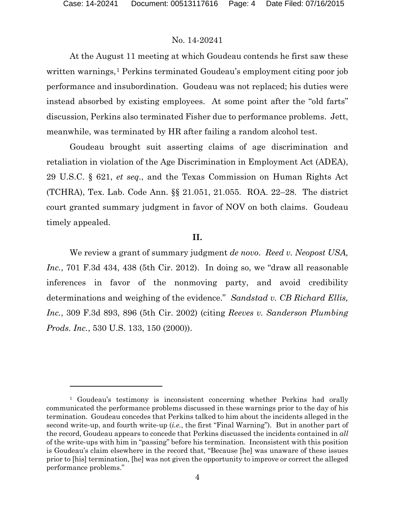l

# No. 14-20241

At the August 11 meeting at which Goudeau contends he first saw these written warnings,<sup>[1](#page-3-0)</sup> Perkins terminated Goudeau's employment citing poor job performance and insubordination. Goudeau was not replaced; his duties were instead absorbed by existing employees. At some point after the "old farts" discussion, Perkins also terminated Fisher due to performance problems. Jett, meanwhile, was terminated by HR after failing a random alcohol test.

Goudeau brought suit asserting claims of age discrimination and retaliation in violation of the Age Discrimination in Employment Act (ADEA), 29 U.S.C. § 621, *et seq*., and the Texas Commission on Human Rights Act (TCHRA), Tex. Lab. Code Ann. §§ 21.051, 21.055. ROA. 22–28. The district court granted summary judgment in favor of NOV on both claims. Goudeau timely appealed.

#### **II.**

We review a grant of summary judgment *de novo*. *Reed v. Neopost USA, Inc.*, 701 F.3d 434, 438 (5th Cir. 2012). In doing so, we "draw all reasonable inferences in favor of the nonmoving party, and avoid credibility determinations and weighing of the evidence." *Sandstad v. CB Richard Ellis, Inc.*, 309 F.3d 893, 896 (5th Cir. 2002) (citing *Reeves v. Sanderson Plumbing Prods. Inc.*, 530 U.S. 133, 150 (2000)).

<span id="page-3-0"></span><sup>&</sup>lt;sup>1</sup> Goudeau's testimony is inconsistent concerning whether Perkins had orally communicated the performance problems discussed in these warnings prior to the day of his termination. Goudeau concedes that Perkins talked to him about the incidents alleged in the second write-up, and fourth write-up (*i.e.*, the first "Final Warning"). But in another part of the record, Goudeau appears to concede that Perkins discussed the incidents contained in *all* of the write-ups with him in "passing" before his termination. Inconsistent with this position is Goudeau's claim elsewhere in the record that, "Because [he] was unaware of these issues prior to [his] termination, [he] was not given the opportunity to improve or correct the alleged performance problems."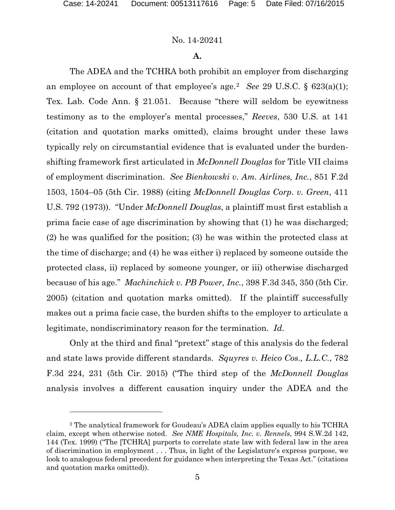$\overline{a}$ 

#### No. 14-20241

#### **A.**

The ADEA and the TCHRA both prohibit an employer from discharging an employee on account of that employee's age.[2](#page-4-0) *See* 29 U.S.C. § 623(a)(1); Tex. Lab. Code Ann. § 21.051. Because "there will seldom be eyewitness testimony as to the employer's mental processes," *Reeves*, 530 U.S. at 141 (citation and quotation marks omitted), claims brought under these laws typically rely on circumstantial evidence that is evaluated under the burdenshifting framework first articulated in *McDonnell Douglas* for Title VII claims of employment discrimination. *See Bienkowski v. Am. Airlines, Inc.*, 851 F.2d 1503, 1504–05 (5th Cir. 1988) (citing *McDonnell Douglas Corp. v. Green*, 411 U.S. 792 (1973)). "Under *McDonnell Douglas*, a plaintiff must first establish a prima facie case of age discrimination by showing that (1) he was discharged; (2) he was qualified for the position; (3) he was within the protected class at the time of discharge; and (4) he was either i) replaced by someone outside the protected class, ii) replaced by someone younger, or iii) otherwise discharged because of his age." *Machinchick v. PB Power, Inc.*, 398 F.3d 345, 350 (5th Cir. 2005) (citation and quotation marks omitted). If the plaintiff successfully makes out a prima facie case, the burden shifts to the employer to articulate a legitimate, nondiscriminatory reason for the termination. *Id*.

Only at the third and final "pretext" stage of this analysis do the federal and state laws provide different standards. *Squyres v. Heico Cos., L.L.C.*, 782 F.3d 224, 231 (5th Cir. 2015) ("The third step of the *McDonnell Douglas* analysis involves a different causation inquiry under the ADEA and the

<span id="page-4-0"></span><sup>2</sup> The analytical framework for Goudeau's ADEA claim applies equally to his TCHRA claim, except when otherwise noted. *See NME Hospitals, Inc. v. Rennels*, 994 S.W.2d 142, 144 (Tex. 1999) ("The [TCHRA] purports to correlate state law with federal law in the area of discrimination in employment . . . Thus, in light of the Legislature's express purpose, we look to analogous federal precedent for guidance when interpreting the Texas Act." (citations and quotation marks omitted)).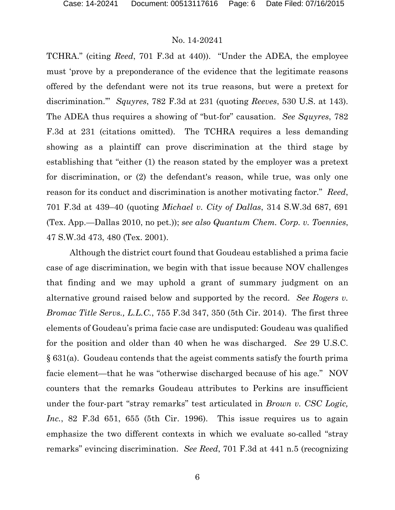TCHRA." (citing *Reed*, 701 F.3d at 440)). "Under the ADEA, the employee must 'prove by a preponderance of the evidence that the legitimate reasons offered by the defendant were not its true reasons, but were a pretext for discrimination.'" *Squyres*, 782 F.3d at 231 (quoting *Reeves*, 530 U.S. at 143). The ADEA thus requires a showing of "but-for" causation. *See Squyres*, 782 F.3d at 231 (citations omitted). The TCHRA requires a less demanding showing as a plaintiff can prove discrimination at the third stage by establishing that "either (1) the reason stated by the employer was a pretext for discrimination, or (2) the defendant's reason, while true, was only one reason for its conduct and discrimination is another motivating factor." *Reed*, 701 F.3d at 439–40 (quoting *Michael v. City of Dallas*, 314 S.W.3d 687, 691 (Tex. App.—Dallas 2010, no pet.)); *see also Quantum Chem. Corp. v. Toennies*, 47 S.W.3d 473, 480 (Tex. 2001).

Although the district court found that Goudeau established a prima facie case of age discrimination, we begin with that issue because NOV challenges that finding and we may uphold a grant of summary judgment on an alternative ground raised below and supported by the record. *See Rogers v. Bromac Title Servs., L.L.C.*, 755 F.3d 347, 350 (5th Cir. 2014).The first three elements of Goudeau's prima facie case are undisputed: Goudeau was qualified for the position and older than 40 when he was discharged. *See* 29 U.S.C. § 631(a). Goudeau contends that the ageist comments satisfy the fourth prima facie element—that he was "otherwise discharged because of his age." NOV counters that the remarks Goudeau attributes to Perkins are insufficient under the four-part "stray remarks" test articulated in *Brown v. CSC Logic, Inc.*, 82 F.3d 651, 655 (5th Cir. 1996). This issue requires us to again emphasize the two different contexts in which we evaluate so-called "stray remarks" evincing discrimination. *See Reed*, 701 F.3d at 441 n.5 (recognizing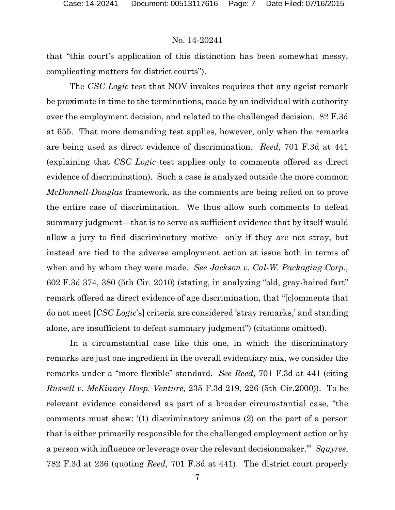that "this court's application of this distinction has been somewhat messy, complicating matters for district courts").

The *CSC Logic* test that NOV invokes requires that any ageist remark be proximate in time to the terminations, made by an individual with authority over the employment decision, and related to the challenged decision. 82 F.3d at 655. That more demanding test applies, however, only when the remarks are being used as direct evidence of discrimination. *Reed*, 701 F.3d at 441 (explaining that *CSC Logic* test applies only to comments offered as direct evidence of discrimination). Such a case is analyzed outside the more common *McDonnell-Douglas* framework, as the comments are being relied on to prove the entire case of discrimination. We thus allow such comments to defeat summary judgment—that is to serve as sufficient evidence that by itself would allow a jury to find discriminatory motive—only if they are not stray, but instead are tied to the adverse employment action at issue both in terms of when and by whom they were made. *See Jackson v. Cal-W. Packaging Corp.*, 602 F.3d 374, 380 (5th Cir. 2010) (stating, in analyzing "old, gray-haired fart" remark offered as direct evidence of age discrimination, that "[c]omments that do not meet [*CSC Logic*'s] criteria are considered 'stray remarks,' and standing alone, are insufficient to defeat summary judgment") (citations omitted).

In a circumstantial case like this one, in which the discriminatory remarks are just one ingredient in the overall evidentiary mix, we consider the remarks under a "more flexible" standard. *See Reed*, 701 F.3d at 441 (citing *Russell v. McKinney Hosp. Venture,* 235 F.3d 219, 226 (5th Cir.2000)). To be relevant evidence considered as part of a broader circumstantial case, "the comments must show: '(1) discriminatory animus (2) on the part of a person that is either primarily responsible for the challenged employment action or by a person with influence or leverage over the relevant decisionmaker.'" *Squyres*, 782 F.3d at 236 (quoting *Reed*, 701 F.3d at 441). The district court properly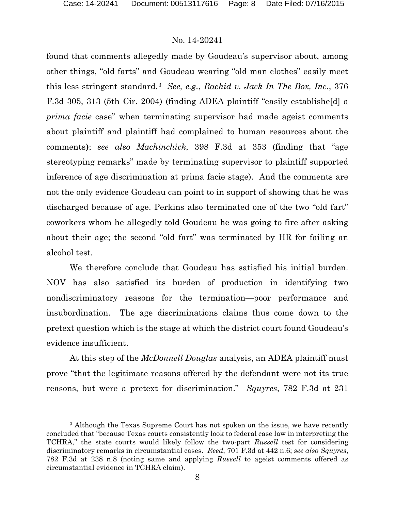$\overline{a}$ 

#### No. 14-20241

found that comments allegedly made by Goudeau's supervisor about, among other things, "old farts" and Goudeau wearing "old man clothes" easily meet this less stringent standard.[3](#page-7-0) *See, e.g.*, *Rachid v. Jack In The Box, Inc.*, 376 F.3d 305, 313 (5th Cir. 2004) (finding ADEA plaintiff "easily establishe[d] a *prima facie* case" when terminating supervisor had made ageist comments about plaintiff and plaintiff had complained to human resources about the comments**)**; *see also Machinchick*, 398 F.3d at 353 (finding that "age stereotyping remarks" made by terminating supervisor to plaintiff supported inference of age discrimination at prima facie stage). And the comments are not the only evidence Goudeau can point to in support of showing that he was discharged because of age. Perkins also terminated one of the two "old fart" coworkers whom he allegedly told Goudeau he was going to fire after asking about their age; the second "old fart" was terminated by HR for failing an alcohol test.

We therefore conclude that Goudeau has satisfied his initial burden. NOV has also satisfied its burden of production in identifying two nondiscriminatory reasons for the termination—poor performance and insubordination. The age discriminations claims thus come down to the pretext question which is the stage at which the district court found Goudeau's evidence insufficient.

At this step of the *McDonnell Douglas* analysis, an ADEA plaintiff must prove "that the legitimate reasons offered by the defendant were not its true reasons, but were a pretext for discrimination." *Squyres*, 782 F.3d at 231

<span id="page-7-0"></span><sup>&</sup>lt;sup>3</sup> Although the Texas Supreme Court has not spoken on the issue, we have recently concluded that "because Texas courts consistently look to federal case law in interpreting the TCHRA," the state courts would likely follow the two-part *Russell* test for considering discriminatory remarks in circumstantial cases. *Reed*, 701 F.3d at 442 n.6; *see also Squyres*, 782 F.3d at 238 n.8 (noting same and applying *Russell* to ageist comments offered as circumstantial evidence in TCHRA claim).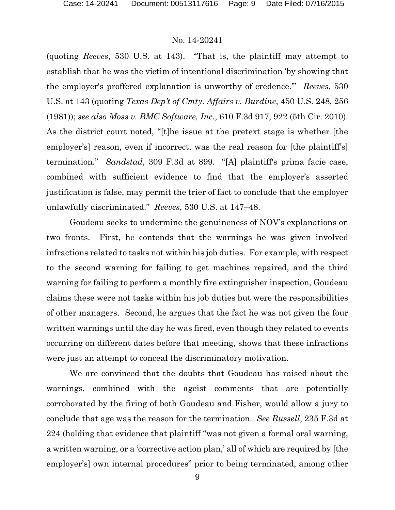(quoting *Reeves*, 530 U.S. at 143). "That is, the plaintiff may attempt to establish that he was the victim of intentional discrimination 'by showing that the employer's proffered explanation is unworthy of credence.'" *Reeves*, 530 U.S. at 143 (quoting *Texas Dep't of Cmty. Affairs v. Burdine*, 450 U.S. 248, 256 (1981)); *see also Moss v. BMC Software, Inc.*, 610 F.3d 917, 922 (5th Cir. 2010). As the district court noted, "[t]he issue at the pretext stage is whether [the employer's] reason, even if incorrect, was the real reason for [the plaintiff's] termination." *Sandstad*, 309 F.3d at 899. "[A] plaintiff's prima facie case, combined with sufficient evidence to find that the employer's asserted justification is false, may permit the trier of fact to conclude that the employer unlawfully discriminated." *Reeves*, 530 U.S. at 147–48.

Goudeau seeks to undermine the genuineness of NOV's explanations on two fronts. First, he contends that the warnings he was given involved infractions related to tasks not within his job duties. For example, with respect to the second warning for failing to get machines repaired, and the third warning for failing to perform a monthly fire extinguisher inspection, Goudeau claims these were not tasks within his job duties but were the responsibilities of other managers.Second, he argues that the fact he was not given the four written warnings until the day he was fired, even though they related to events occurring on different dates before that meeting, shows that these infractions were just an attempt to conceal the discriminatory motivation.

We are convinced that the doubts that Goudeau has raised about the warnings, combined with the ageist comments that are potentially corroborated by the firing of both Goudeau and Fisher, would allow a jury to conclude that age was the reason for the termination. *See Russell*, 235 F.3d at 224 (holding that evidence that plaintiff "was not given a formal oral warning, a written warning, or a 'corrective action plan,' all of which are required by [the employer's] own internal procedures" prior to being terminated, among other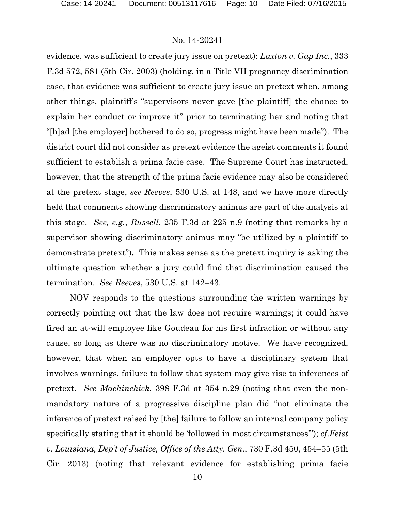evidence, was sufficient to create jury issue on pretext); *Laxton v. Gap Inc.*, 333 F.3d 572, 581 (5th Cir. 2003) (holding, in a Title VII pregnancy discrimination case, that evidence was sufficient to create jury issue on pretext when, among other things, plaintiff's "supervisors never gave [the plaintiff] the chance to explain her conduct or improve it" prior to terminating her and noting that "[h]ad [the employer] bothered to do so, progress might have been made"). The district court did not consider as pretext evidence the ageist comments it found sufficient to establish a prima facie case. The Supreme Court has instructed, however, that the strength of the prima facie evidence may also be considered at the pretext stage, *see Reeves*, 530 U.S. at 148, and we have more directly held that comments showing discriminatory animus are part of the analysis at this stage. *See, e.g.*, *Russell*, 235 F.3d at 225 n.9 (noting that remarks by a supervisor showing discriminatory animus may "be utilized by a plaintiff to demonstrate pretext")**.** This makes sense as the pretext inquiry is asking the ultimate question whether a jury could find that discrimination caused the termination. *See Reeves*, 530 U.S. at 142–43.

NOV responds to the questions surrounding the written warnings by correctly pointing out that the law does not require warnings; it could have fired an at-will employee like Goudeau for his first infraction or without any cause, so long as there was no discriminatory motive. We have recognized, however, that when an employer opts to have a disciplinary system that involves warnings, failure to follow that system may give rise to inferences of pretext. *See Machinchick*, 398 F.3d at 354 n.29 (noting that even the nonmandatory nature of a progressive discipline plan did "not eliminate the inference of pretext raised by [the] failure to follow an internal company policy specifically stating that it should be 'followed in most circumstances'"); *cf*.*Feist v. Louisiana, Dep't of Justice, Office of the Atty. Gen.*, 730 F.3d 450, 454–55 (5th Cir. 2013) (noting that relevant evidence for establishing prima facie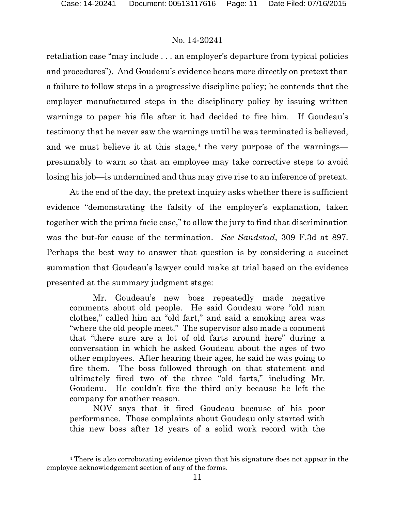l

#### No. 14-20241

retaliation case "may include . . . an employer's departure from typical policies and procedures"). And Goudeau's evidence bears more directly on pretext than a failure to follow steps in a progressive discipline policy; he contends that the employer manufactured steps in the disciplinary policy by issuing written warnings to paper his file after it had decided to fire him. If Goudeau's testimony that he never saw the warnings until he was terminated is believed, and we must believe it at this stage,<sup>[4](#page-10-0)</sup> the very purpose of the warnings presumably to warn so that an employee may take corrective steps to avoid losing his job—is undermined and thus may give rise to an inference of pretext.

At the end of the day, the pretext inquiry asks whether there is sufficient evidence "demonstrating the falsity of the employer's explanation, taken together with the prima facie case," to allow the jury to find that discrimination was the but-for cause of the termination. *See Sandstad*, 309 F.3d at 897. Perhaps the best way to answer that question is by considering a succinct summation that Goudeau's lawyer could make at trial based on the evidence presented at the summary judgment stage:

Mr. Goudeau's new boss repeatedly made negative comments about old people. He said Goudeau wore "old man clothes," called him an "old fart," and said a smoking area was "where the old people meet." The supervisor also made a comment that "there sure are a lot of old farts around here" during a conversation in which he asked Goudeau about the ages of two other employees. After hearing their ages, he said he was going to fire them. The boss followed through on that statement and ultimately fired two of the three "old farts," including Mr. Goudeau. He couldn't fire the third only because he left the company for another reason.

NOV says that it fired Goudeau because of his poor performance. Those complaints about Goudeau only started with this new boss after 18 years of a solid work record with the

<span id="page-10-0"></span><sup>4</sup> There is also corroborating evidence given that his signature does not appear in the employee acknowledgement section of any of the forms.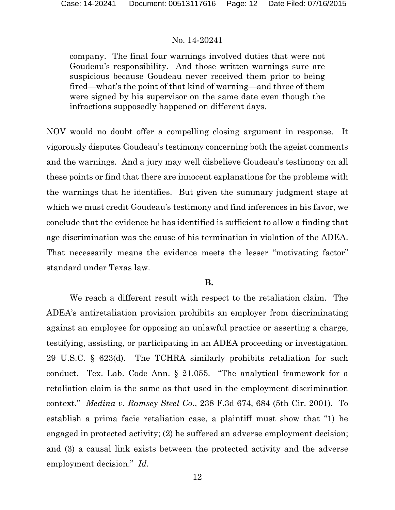company. The final four warnings involved duties that were not Goudeau's responsibility. And those written warnings sure are suspicious because Goudeau never received them prior to being fired—what's the point of that kind of warning—and three of them were signed by his supervisor on the same date even though the infractions supposedly happened on different days.

NOV would no doubt offer a compelling closing argument in response. It vigorously disputes Goudeau's testimony concerning both the ageist comments and the warnings. And a jury may well disbelieve Goudeau's testimony on all these points or find that there are innocent explanations for the problems with the warnings that he identifies. But given the summary judgment stage at which we must credit Goudeau's testimony and find inferences in his favor, we conclude that the evidence he has identified is sufficient to allow a finding that age discrimination was the cause of his termination in violation of the ADEA. That necessarily means the evidence meets the lesser "motivating factor" standard under Texas law.

# **B.**

We reach a different result with respect to the retaliation claim. The ADEA's antiretaliation provision prohibits an employer from discriminating against an employee for opposing an unlawful practice or asserting a charge, testifying, assisting, or participating in an ADEA proceeding or investigation. 29 U.S.C. § 623(d). The TCHRA similarly prohibits retaliation for such conduct. Tex. Lab. Code Ann. § 21.055. "The analytical framework for a retaliation claim is the same as that used in the employment discrimination context." *Medina v. Ramsey Steel Co.*, 238 F.3d 674, 684 (5th Cir. 2001). To establish a prima facie retaliation case, a plaintiff must show that "1) he engaged in protected activity; (2) he suffered an adverse employment decision; and (3) a causal link exists between the protected activity and the adverse employment decision." *Id*.